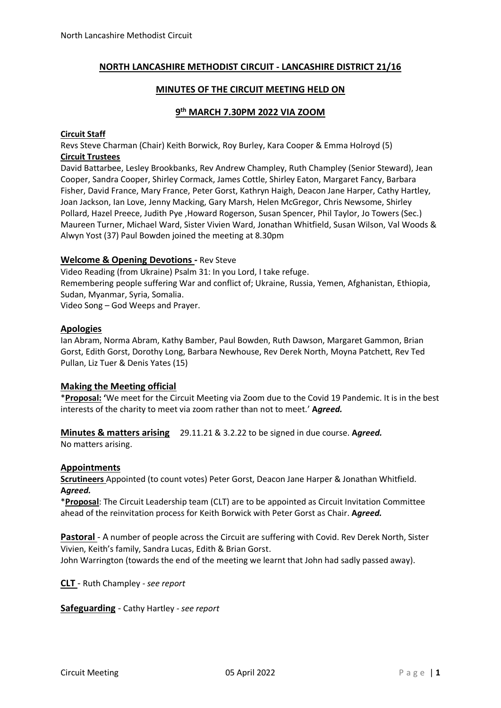### **NORTH LANCASHIRE METHODIST CIRCUIT - LANCASHIRE DISTRICT 21/16**

#### **MINUTES OF THE CIRCUIT MEETING HELD ON**

# **9 th MARCH 7.30PM 2022 VIA ZOOM**

#### **Circuit Staff**

Revs Steve Charman (Chair) Keith Borwick, Roy Burley, Kara Cooper & Emma Holroyd (5) **Circuit Trustees**

David Battarbee, Lesley Brookbanks, Rev Andrew Champley, Ruth Champley (Senior Steward), Jean Cooper, Sandra Cooper, Shirley Cormack, James Cottle, Shirley Eaton, Margaret Fancy, Barbara Fisher, David France, Mary France, Peter Gorst, Kathryn Haigh, Deacon Jane Harper, Cathy Hartley, Joan Jackson, Ian Love, Jenny Macking, Gary Marsh, Helen McGregor, Chris Newsome, Shirley Pollard, Hazel Preece, Judith Pye ,Howard Rogerson, Susan Spencer, Phil Taylor, Jo Towers (Sec.) Maureen Turner, Michael Ward, Sister Vivien Ward, Jonathan Whitfield, Susan Wilson, Val Woods & Alwyn Yost (37) Paul Bowden joined the meeting at 8.30pm

#### **Welcome & Opening Devotions -** Rev Steve

Video Reading (from Ukraine) Psalm 31: In you Lord, I take refuge. Remembering people suffering War and conflict of; Ukraine, Russia, Yemen, Afghanistan, Ethiopia, Sudan, Myanmar, Syria, Somalia. Video Song – God Weeps and Prayer.

**Apologies**

Ian Abram, Norma Abram, Kathy Bamber, Paul Bowden, Ruth Dawson, Margaret Gammon, Brian Gorst, Edith Gorst, Dorothy Long, Barbara Newhouse, Rev Derek North, Moyna Patchett, Rev Ted Pullan, Liz Tuer & Denis Yates (15)

#### **Making the Meeting official**

\***Proposal: '**We meet for the Circuit Meeting via Zoom due to the Covid 19 Pandemic. It is in the best interests of the charity to meet via zoom rather than not to meet.' **A***greed.*

**Minutes & matters arising** 29.11.21 & 3.2.22 to be signed in due course. **A***greed.*

No matters arising.

#### **Appointments**

**Scrutineers** Appointed (to count votes) Peter Gorst, Deacon Jane Harper & Jonathan Whitfield. **A***greed.*

\***Proposal**: The Circuit Leadership team (CLT) are to be appointed as Circuit Invitation Committee ahead of the reinvitation process for Keith Borwick with Peter Gorst as Chair. **A***greed.*

**Pastoral** - A number of people across the Circuit are suffering with Covid. Rev Derek North, Sister Vivien, Keith's family, Sandra Lucas, Edith & Brian Gorst.

John Warrington (towards the end of the meeting we learnt that John had sadly passed away).

**CLT** - Ruth Champley *- see report*

**Safeguarding** - Cathy Hartley *- see report*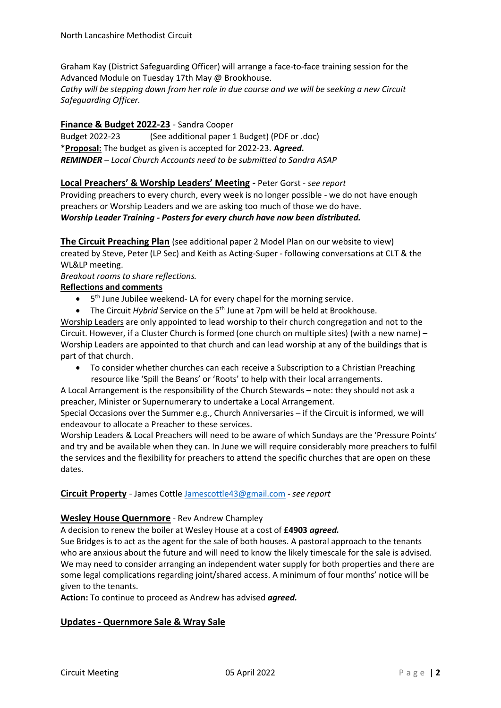Graham Kay (District Safeguarding Officer) will arrange a face-to-face training session for the Advanced Module on Tuesday 17th May @ Brookhouse.

*Cathy will be stepping down from her role in due course and we will be seeking a new Circuit Safeguarding Officer.*

# **Finance & Budget 2022-23** - Sandra Cooper

Budget 2022-23 (See additional paper 1 Budget) (PDF or .doc) \***Proposal:** The budget as given is accepted for 2022-23. **A***greed. REMINDER – Local Church Accounts need to be submitted to Sandra ASAP*

**Local Preachers' & Worship Leaders' Meeting -** Peter Gorst *- see report*

Providing preachers to every church, every week is no longer possible - we do not have enough preachers or Worship Leaders and we are asking too much of those we do have. *Worship Leader Training - Posters for every church have now been distributed.*

**The Circuit Preaching Plan** (see additional paper 2 Model Plan on our website to view) created by Steve, Peter (LP Sec) and Keith as Acting-Super - following conversations at CLT & the WL&LP meeting.

#### *Breakout rooms to share reflections.*

### **Reflections and comments**

- 5<sup>th</sup> June Jubilee weekend- LA for every chapel for the morning service.
- The Circuit *Hybrid* Service on the 5<sup>th</sup> June at 7pm will be held at Brookhouse.

Worship Leaders are only appointed to lead worship to their church congregation and not to the Circuit. However, if a Cluster Church is formed (one church on multiple sites) (with a new name) – Worship Leaders are appointed to that church and can lead worship at any of the buildings that is part of that church.

• To consider whether churches can each receive a Subscription to a Christian Preaching resource like 'Spill the Beans' or 'Roots' to help with their local arrangements.

A Local Arrangement is the responsibility of the Church Stewards – note: they should not ask a preacher, Minister or Supernumerary to undertake a Local Arrangement.

Special Occasions over the Summer e.g., Church Anniversaries – if the Circuit is informed, we will endeavour to allocate a Preacher to these services.

Worship Leaders & Local Preachers will need to be aware of which Sundays are the 'Pressure Points' and try and be available when they can. In June we will require considerably more preachers to fulfil the services and the flexibility for preachers to attend the specific churches that are open on these dates.

#### **Circuit Property** - James Cottle [Jamescottle43@gmail.com](mailto:Jamescottle43@gmail.com) *- see report*

#### **Wesley House Quernmore** - Rev Andrew Champley

A decision to renew the boiler at Wesley House at a cost of **£4903** *agreed.*

Sue Bridges is to act as the agent for the sale of both houses. A pastoral approach to the tenants who are anxious about the future and will need to know the likely timescale for the sale is advised. We may need to consider arranging an independent water supply for both properties and there are some legal complications regarding joint/shared access. A minimum of four months' notice will be given to the tenants.

**Action:** To continue to proceed as Andrew has advised *agreed.*

# **Updates - Quernmore Sale & Wray Sale**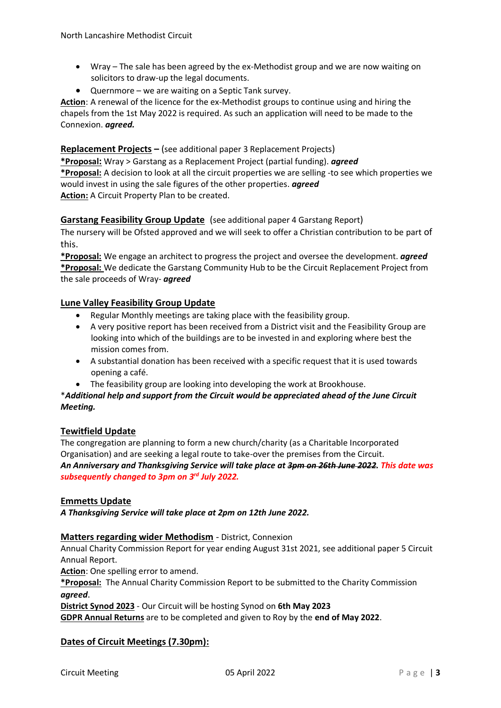- Wray The sale has been agreed by the ex-Methodist group and we are now waiting on solicitors to draw-up the legal documents.
- Quernmore we are waiting on a Septic Tank survey.

**Action**: A renewal of the licence for the ex-Methodist groups to continue using and hiring the chapels from the 1st May 2022 is required. As such an application will need to be made to the Connexion. *agreed.*

# **Replacement Projects –** (see additional paper 3 Replacement Projects)

**\*Proposal:** Wray > Garstang as a Replacement Project (partial funding). *agreed* **\*Proposal:** A decision to look at all the circuit properties we are selling -to see which properties we would invest in using the sale figures of the other properties. *agreed* **Action:** A Circuit Property Plan to be created.

# **Garstang Feasibility Group Update** (see additional paper 4 Garstang Report)

The nursery will be Ofsted approved and we will seek to offer a Christian contribution to be part of this.

**\*Proposal:** We engage an architect to progress the project and oversee the development. *agreed* **\*Proposal:** We dedicate the Garstang Community Hub to be the Circuit Replacement Project from the sale proceeds of Wray- *agreed*

### **Lune Valley Feasibility Group Update**

- Regular Monthly meetings are taking place with the feasibility group.
- A very positive report has been received from a District visit and the Feasibility Group are looking into which of the buildings are to be invested in and exploring where best the mission comes from.
- A substantial donation has been received with a specific request that it is used towards opening a café.
- The feasibility group are looking into developing the work at Brookhouse.

### \**Additional help and support from the Circuit would be appreciated ahead of the June Circuit Meeting.*

# **Tewitfield Update**

The congregation are planning to form a new church/charity (as a Charitable Incorporated Organisation) and are seeking a legal route to take-over the premises from the Circuit. *An Anniversary and Thanksgiving Service will take place at 3pm on 26th June 2022. This date was subsequently changed to 3pm on 3rd July 2022.*

#### **Emmetts Update**

*A Thanksgiving Service will take place at 2pm on 12th June 2022.*

# **Matters regarding wider Methodism** - District, Connexion

Annual Charity Commission Report for year ending August 31st 2021, see additional paper 5 Circuit Annual Report.

**Action**: One spelling error to amend.

**\*Proposal:** The Annual Charity Commission Report to be submitted to the Charity Commission *agreed*.

**District Synod 2023** - Our Circuit will be hosting Synod on **6th May 2023**

**GDPR Annual Returns** are to be completed and given to Roy by the **end of May 2022**.

# **Dates of Circuit Meetings (7.30pm):**